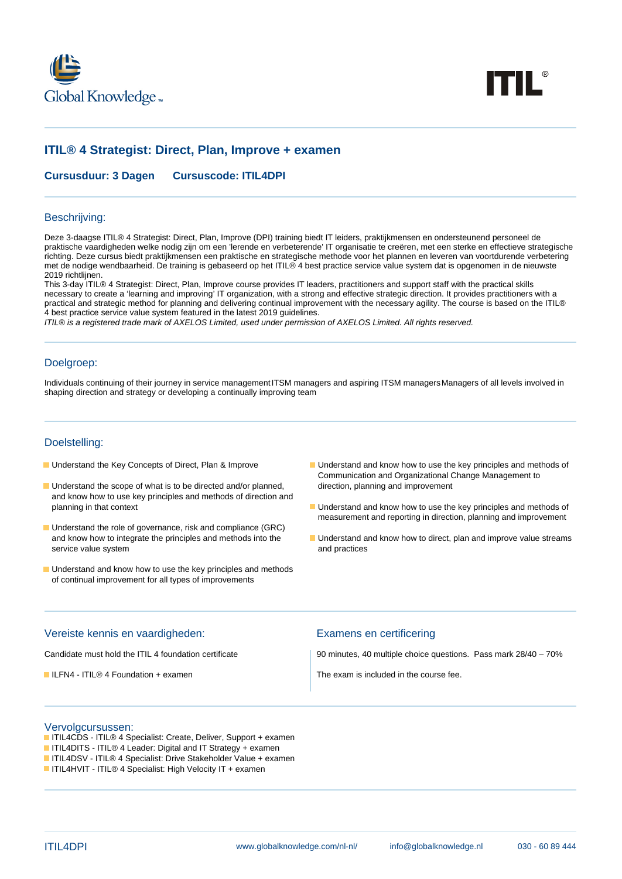



# **ITIL® 4 Strategist: Direct, Plan, Improve + examen**

**Cursusduur: 3 Dagen Cursuscode: ITIL4DPI**

#### Beschrijving:

Deze 3-daagse ITIL® 4 Strategist: Direct, Plan, Improve (DPI) training biedt IT leiders, praktijkmensen en ondersteunend personeel de praktische vaardigheden welke nodig zijn om een 'lerende en verbeterende' IT organisatie te creëren, met een sterke en effectieve strategische richting. Deze cursus biedt praktijkmensen een praktische en strategische methode voor het plannen en leveren van voortdurende verbetering met de nodige wendbaarheid. De training is gebaseerd op het ITIL® 4 best practice service value system dat is opgenomen in de nieuwste 2019 richtlijnen.

This 3-day ITIL® 4 Strategist: Direct, Plan, Improve course provides IT leaders, practitioners and support staff with the practical skills necessary to create a 'learning and improving' IT organization, with a strong and effective strategic direction. It provides practitioners with a practical and strategic method for planning and delivering continual improvement with the necessary agility. The course is based on the ITIL® 4 best practice service value system featured in the latest 2019 guidelines.

ITIL® is a registered trade mark of AXELOS Limited, used under permission of AXELOS Limited. All rights reserved.

### Doelgroep:

Individuals continuing of their journey in service management ITSM managers and aspiring ITSM managers Managers of all levels involved in shaping direction and strategy or developing a continually improving team

#### Doelstelling:

- 
- **Understand the scope of what is to be directed and/or planned, and improvement of the scope of what is to be directed and/or planned, and improvement** and know how to use key principles and methods of direction and
- **Understand the role of governance, risk and compliance (GRC)** service value system and practices
- **Understand and know how to use the key principles and methods** of continual improvement for all types of improvements
- Understand the Key Concepts of Direct, Plan & Improve Understand and know how to use the key principles and methods of Communication and Organizational Change Management to
	- $\blacksquare$  Understand and know how to use the key principles and methods of measurement and reporting in direction, planning and improvement
	- and know how to integrate the principles and methods into the Understand and know how to direct, plan and improve value streams

### Vereiste kennis en vaardigheden: Examens en certificering

■ ILFN4 - ITIL® 4 Foundation + examen The exam is included in the course fee.

Candidate must hold the ITIL 4 foundation certificate 90 minutes, 40 multiple choice questions. Pass mark 28/40 – 70%

#### Vervolgcursussen:

- ITIL4CDS ITIL® 4 Specialist: Create, Deliver, Support + examen
- ITIL4DITS ITIL® 4 Leader: Digital and IT Strategy + examen
- ITIL4DSV ITIL® 4 Specialist: Drive Stakeholder Value + examen
- ITIL4HVIT ITIL® 4 Specialist: High Velocity IT + examen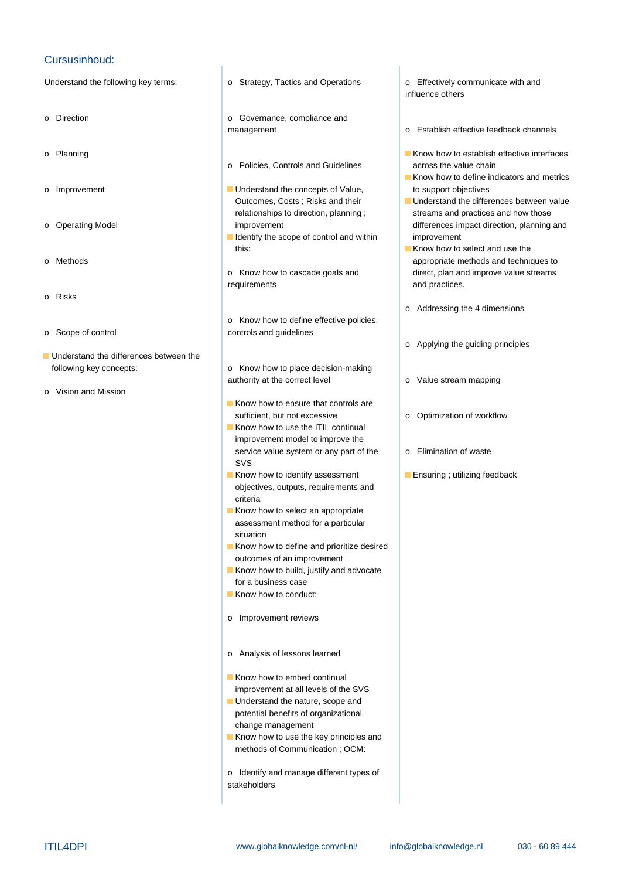## Cursusinhoud:

Understand the following key terms: <br>  $\circ$  Strategy, Tactics and Operations <br>  $\circ$  Effectively communicate with and

- 
- 
- 
- 
- 
- o Risks
- 
- $\blacksquare$  Understand the differences between the following key concepts: o Know how to place decision-making
- o Vision and Mission
- 
- o Direction **o Governance**, compliance and
	- o Policies, Controls and Guidelines across the value chain

line line

- o Improvement **Understand the concepts of Value,** to support objectives Outcomes, Costs ; Risks and their Understand the differences between value
	- I Identify the scope of control and within improvement this: **Know how to select and use the**
	- requirements and practices.
- o Know how to define effective policies, o Scope of control controls and guidelines
	- authority at the correct level **business** o Value stream mapping
	- $\blacksquare$  Know how to ensure that controls are sufficient, but not excessive **or a control of System** of Workflow
	- Know how to use the ITIL continual improvement model to improve the service value system or any part of the onlycontroller in Elimination of waste SVS in the state of the state of the state of the state of the state of the state of the state of the state of
	- objectives, outputs, requirements and criteria
	- Know how to select an appropriate assessment method for a particular situation
	- Know how to define and prioritize desired outcomes of an improvement
	- Know how to build, justify and advocate for a business case
	- Know how to conduct:
	- o Improvement reviews
	- o Analysis of lessons learned
	- Know how to embed continual improvement at all levels of the SVS
	- **Understand the nature, scope and** potential benefits of organizational change management
	- Know how to use the key principles and methods of Communication ; OCM:
	- o Identify and manage different types of stakeholders

influence others

- management **our contract of Establish effective feedback channels**
- o Planning Know how to establish effective interfaces
	- $\blacksquare$  Know how to define indicators and metrics
- relationships to direction, planning ; streams and practices and how those o Operating Model improvement improvement and differences impact direction, planning and
- o Methods appropriate methods and techniques to o Know how to cascade goals and direct, plan and improve value streams
	- o Addressing the 4 dimensions
	- o Applying the guiding principles
	-
	-
	-
	- Know how to identify assessment Ensuring ; utilizing feedback